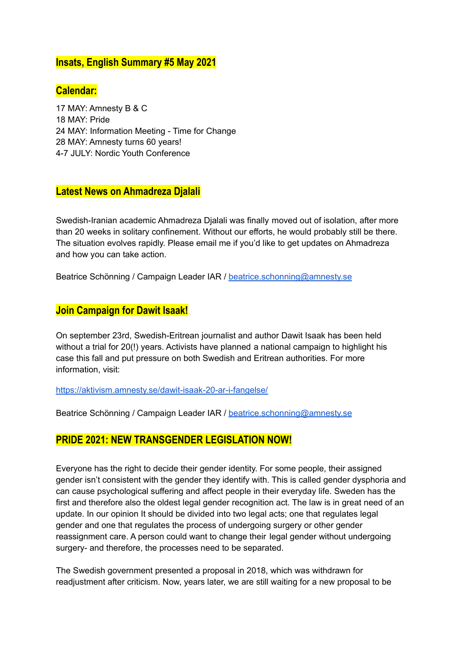### **Insats, English Summary #5 May 2021**

## **Calendar:**

 MAY: Amnesty B & C MAY: Pride MAY: Information Meeting - Time for Change MAY: Amnesty turns 60 years! 4-7 JULY: Nordic Youth Conference

### **Latest News on Ahmadreza Djalali**

Swedish-Iranian academic Ahmadreza Djalali was finally moved out of isolation, after more than 20 weeks in solitary confinement. Without our efforts, he would probably still be there. The situation evolves rapidly. Please email me if you'd like to get updates on Ahmadreza and how you can take action.

Beatrice Schönning / Campaign Leader IAR / [beatrice.schonning@amnesty.se](mailto:beatrice.schonning@amnesty.se)

# **Join Campaign for Dawit Isaak!**

On september 23rd, Swedish-Eritrean journalist and author Dawit Isaak has been held without a trial for 20(!) years. Activists have planned a national campaign to highlight his case this fall and put pressure on both Swedish and Eritrean authorities. For more information, visit:

<https://aktivism.amnesty.se/dawit-isaak-20-ar-i-fangelse/>

Beatrice Schönning / Campaign Leader IAR / [beatrice.schonning@amnesty.se](mailto:beatrice.schonning@amnesty.se)

### **PRIDE 2021: NEW TRANSGENDER LEGISLATION NOW!**

Everyone has the right to decide their gender identity. For some people, their assigned gender isn't consistent with the gender they identify with. This is called gender dysphoria and can cause psychological suffering and affect people in their everyday life. Sweden has the first and therefore also the oldest legal gender recognition act. The law is in great need of an update. In our opinion It should be divided into two legal acts; one that regulates legal gender and one that regulates the process of undergoing surgery or other gender reassignment care. A person could want to change their legal gender without undergoing surgery- and therefore, the processes need to be separated.

The Swedish government presented a proposal in 2018, which was withdrawn for readjustment after criticism. Now, years later, we are still waiting for a new proposal to be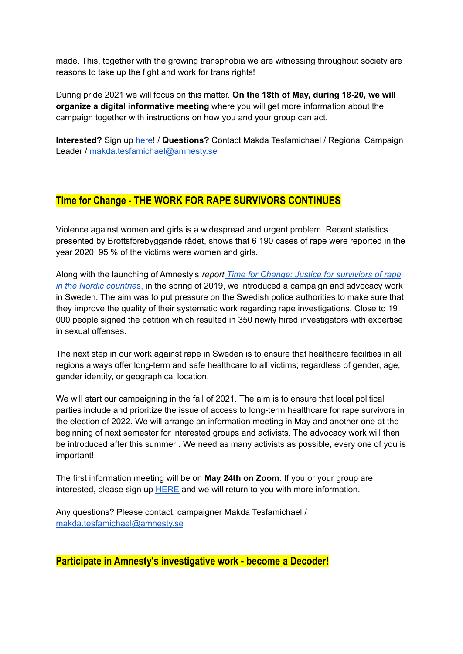made. This, together with the growing transphobia we are witnessing throughout society are reasons to take up the fight and work for trans rights!

During pride 2021 we will focus on this matter. **On the 18th of May, during 18-20, we will organize a digital informative meeting** where you will get more information about the campaign together with instructions on how you and your group can act.

**Interested?** Sign up [here!](https://aktivism.amnesty.se/forms/jag-och-min-grupp-vill-agera-under-pride-2021/) / **Questions?** Contact Makda Tesfamichael / Regional Campaign Leader / [makda.tesfamichael@amnesty.se](mailto:makda.tesfamichael@amnesty.se)

# **Time for Change - THE WORK FOR RAPE SURVIVORS CONTINUES**

Violence against women and girls is a widespread and urgent problem. Recent statistics presented by Brottsförebyggande rådet, shows that 6 190 cases of rape were reported in the year 2020. 95 % of the victims were women and girls.

Along with the launching of Amnesty's *report Time for Change: Justice for [surviviors](https://www.amnesty.se/documents/103/Time_for_change_FINAL.pdf) of rape in the Nordic [countrie](https://www.amnesty.se/documents/103/Time_for_change_FINAL.pdf)*s, in the spring of 2019, we introduced a campaign and advocacy work in Sweden. The aim was to put pressure on the Swedish police authorities to make sure that they improve the quality of their systematic work regarding rape investigations. Close to 19 000 people signed the petition which resulted in 350 newly hired investigators with expertise in sexual offenses.

The next step in our work against rape in Sweden is to ensure that healthcare facilities in all regions always offer long-term and safe healthcare to all victims; regardless of gender, age, gender identity, or geographical location.

We will start our campaigning in the fall of 2021. The aim is to ensure that local political parties include and prioritize the issue of access to long-term healthcare for rape survivors in the election of 2022. We will arrange an information meeting in May and another one at the beginning of next semester for interested groups and activists. The advocacy work will then be introduced after this summer . We need as many activists as possible, every one of you is important!

The first information meeting will be on **May 24th on Zoom.** If you or your group are interested, please sign up [HERE](https://aktivism.amnesty.se/forms/intresseanmalan-time-for-change/) and we will return to you with more information.

Any questions? Please contact, campaigner Makda Tesfamichael / [makda.tesfamichael@amnesty.se](mailto:makda.tesfamichael@amnesty.se)

**Participate in Amnesty's investigative work - become a Decoder!**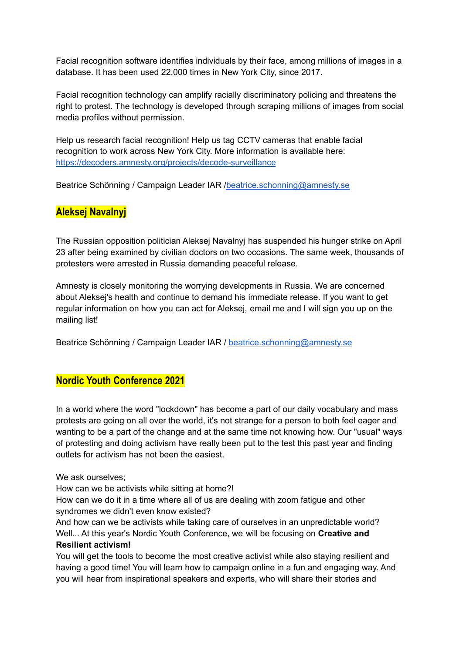Facial recognition software identifies individuals by their face, among millions of images in a database. It has been used 22,000 times in New York City, since 2017.

Facial recognition technology can amplify racially discriminatory policing and threatens the right to protest. The technology is developed through scraping millions of images from social media profiles without permission.

Help us research facial recognition! Help us tag CCTV cameras that enable facial recognition to work across New York City. More information is available here: <https://decoders.amnesty.org/projects/decode-surveillance>

Beatrice Schönning / Campaign Leader IAR [/beatrice.schonning@amnesty.se](mailto:beatrice.schonning@amnesty.se)

# **Aleksej Navalnyj**

The Russian opposition politician Aleksej Navalnyj has suspended his hunger strike on April 23 after being examined by civilian doctors on two occasions. The same week, thousands of protesters were arrested in Russia demanding peaceful release.

Amnesty is closely monitoring the worrying developments in Russia. We are concerned about Aleksej's health and continue to demand his immediate release. If you want to get regular information on how you can act for Aleksej, email me and I will sign you up on the mailing list!

Beatrice Schönning / Campaign Leader IAR / [beatrice.schonning@amnesty.se](mailto:beatrice.schonning@amnesty.se)

### **Nordic Youth Conference 2021**

In a world where the word "lockdown" has become a part of our daily vocabulary and mass protests are going on all over the world, it's not strange for a person to both feel eager and wanting to be a part of the change and at the same time not knowing how. Our "usual" ways of protesting and doing activism have really been put to the test this past year and finding outlets for activism has not been the easiest.

We ask ourselves:

How can we be activists while sitting at home?!

How can we do it in a time where all of us are dealing with zoom fatigue and other syndromes we didn't even know existed?

And how can we be activists while taking care of ourselves in an unpredictable world? Well... At this year's Nordic Youth Conference, we will be focusing on **Creative and Resilient activism!**

You will get the tools to become the most creative activist while also staying resilient and having a good time! You will learn how to campaign online in a fun and engaging way. And you will hear from inspirational speakers and experts, who will share their stories and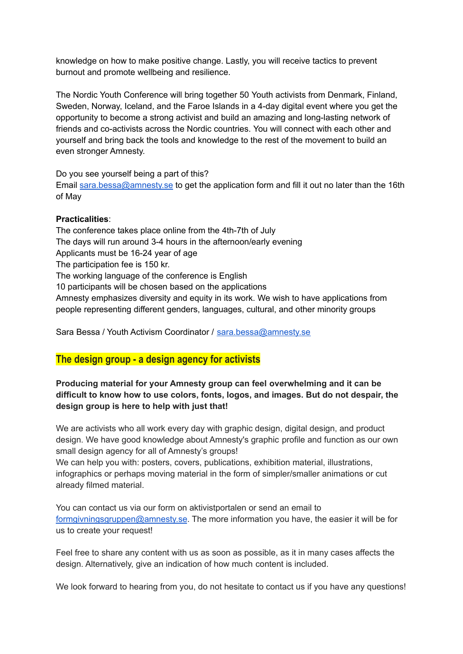knowledge on how to make positive change. Lastly, you will receive tactics to prevent burnout and promote wellbeing and resilience.

The Nordic Youth Conference will bring together 50 Youth activists from Denmark, Finland, Sweden, Norway, Iceland, and the Faroe Islands in a 4-day digital event where you get the opportunity to become a strong activist and build an amazing and long-lasting network of friends and co-activists across the Nordic countries. You will connect with each other and yourself and bring back the tools and knowledge to the rest of the movement to build an even stronger Amnesty.

Do you see yourself being a part of this?

Email [sara.bessa@amnesty.se](mailto:sara.bessa@amnesty.se) to get the application form and fill it out no later than the 16th of May

#### **Practicalities**:

The conference takes place online from the 4th-7th of July The days will run around 3-4 hours in the afternoon/early evening Applicants must be 16-24 year of age The participation fee is 150 kr. The working language of the conference is English 10 participants will be chosen based on the applications Amnesty emphasizes diversity and equity in its work. We wish to have applications from people representing different genders, languages, cultural, and other minority groups

Sara Bessa / Youth Activism Coordinator / [sara.bessa@amnesty.se](mailto:sara.bessa@amnesty.se)

### **The design group - a design agency for activists**

#### **Producing material for your Amnesty group can feel overwhelming and it can be difficult to know how to use colors, fonts, logos, and images. But do not despair, the design group is here to help with just that!**

We are activists who all work every day with graphic design, digital design, and product design. We have good knowledge about Amnesty's graphic profile and function as our own small design agency for all of Amnesty's groups!

We can help you with: posters, covers, publications, exhibition material, illustrations, infographics or perhaps moving material in the form of simpler/smaller animations or cut already filmed material.

You can contact us via our form on aktivistportalen or send an email to [formgivningsgruppen@amnesty.se](mailto:formgivningsgruppen@amnesty.se). The more information you have, the easier it will be for us to create your request!

Feel free to share any content with us as soon as possible, as it in many cases affects the design. Alternatively, give an indication of how much content is included.

We look forward to hearing from you, do not hesitate to contact us if you have any questions!